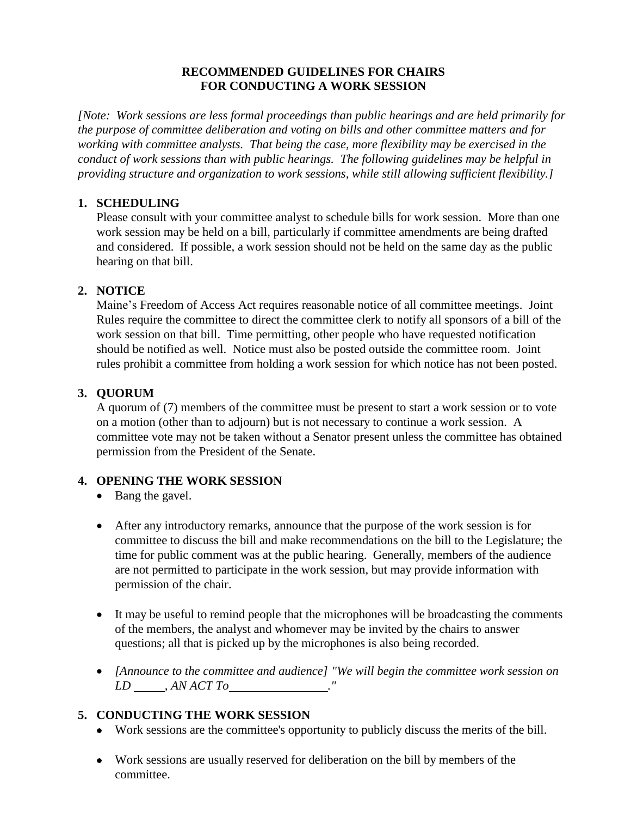#### **RECOMMENDED GUIDELINES FOR CHAIRS FOR CONDUCTING A WORK SESSION**

*[Note: Work sessions are less formal proceedings than public hearings and are held primarily for the purpose of committee deliberation and voting on bills and other committee matters and for working with committee analysts. That being the case, more flexibility may be exercised in the conduct of work sessions than with public hearings. The following guidelines may be helpful in providing structure and organization to work sessions, while still allowing sufficient flexibility.]*

## **1. SCHEDULING**

Please consult with your committee analyst to schedule bills for work session. More than one work session may be held on a bill, particularly if committee amendments are being drafted and considered. If possible, a work session should not be held on the same day as the public hearing on that bill.

## **2. NOTICE**

Maine's Freedom of Access Act requires reasonable notice of all committee meetings. Joint Rules require the committee to direct the committee clerk to notify all sponsors of a bill of the work session on that bill. Time permitting, other people who have requested notification should be notified as well. Notice must also be posted outside the committee room. Joint rules prohibit a committee from holding a work session for which notice has not been posted.

# **3. QUORUM**

A quorum of (7) members of the committee must be present to start a work session or to vote on a motion (other than to adjourn) but is not necessary to continue a work session. A committee vote may not be taken without a Senator present unless the committee has obtained permission from the President of the Senate.

## **4. OPENING THE WORK SESSION**

- Bang the gavel.
- After any introductory remarks, announce that the purpose of the work session is for committee to discuss the bill and make recommendations on the bill to the Legislature; the time for public comment was at the public hearing. Generally, members of the audience are not permitted to participate in the work session, but may provide information with permission of the chair.
- It may be useful to remind people that the microphones will be broadcasting the comments of the members, the analyst and whomever may be invited by the chairs to answer questions; all that is picked up by the microphones is also being recorded.
- *[Announce to the committee and audience] "We will begin the committee work session on LD , AN ACT To ."*

# **5. CONDUCTING THE WORK SESSION**

- Work sessions are the committee's opportunity to publicly discuss the merits of the bill.
- Work sessions are usually reserved for deliberation on the bill by members of the committee.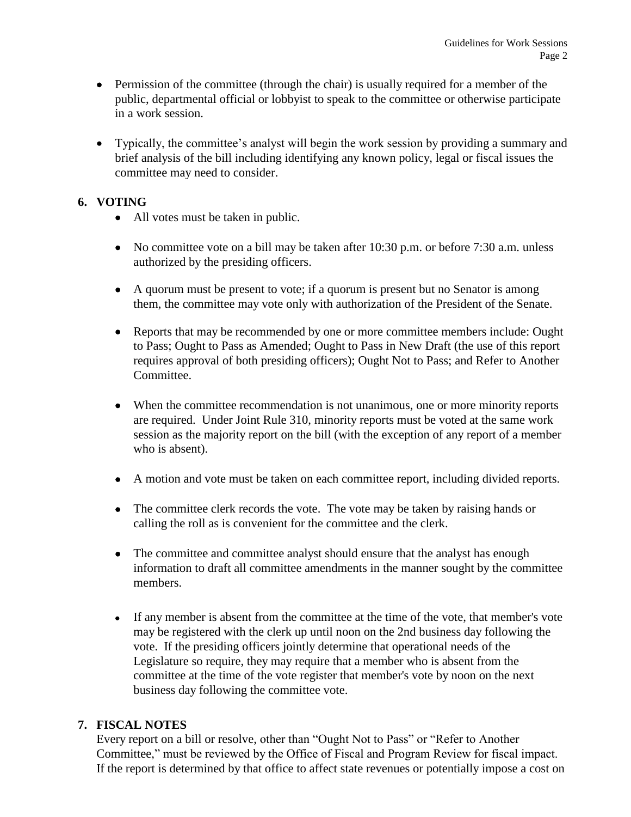- Permission of the committee (through the chair) is usually required for a member of the public, departmental official or lobbyist to speak to the committee or otherwise participate in a work session.
- Typically, the committee's analyst will begin the work session by providing a summary and brief analysis of the bill including identifying any known policy, legal or fiscal issues the committee may need to consider.

### **6. VOTING**

- All votes must be taken in public.
- No committee vote on a bill may be taken after 10:30 p.m. or before 7:30 a.m. unless authorized by the presiding officers.
- A quorum must be present to vote; if a quorum is present but no Senator is among them, the committee may vote only with authorization of the President of the Senate.
- Reports that may be recommended by one or more committee members include: Ought to Pass; Ought to Pass as Amended; Ought to Pass in New Draft (the use of this report requires approval of both presiding officers); Ought Not to Pass; and Refer to Another Committee.
- When the committee recommendation is not unanimous, one or more minority reports are required. Under Joint Rule 310, minority reports must be voted at the same work session as the majority report on the bill (with the exception of any report of a member who is absent).
- A motion and vote must be taken on each committee report, including divided reports.
- The committee clerk records the vote. The vote may be taken by raising hands or calling the roll as is convenient for the committee and the clerk.
- The committee and committee analyst should ensure that the analyst has enough information to draft all committee amendments in the manner sought by the committee members.
- If any member is absent from the committee at the time of the vote, that member's vote may be registered with the clerk up until noon on the 2nd business day following the vote. If the presiding officers jointly determine that operational needs of the Legislature so require, they may require that a member who is absent from the committee at the time of the vote register that member's vote by noon on the next business day following the committee vote.

## **7. FISCAL NOTES**

Every report on a bill or resolve, other than "Ought Not to Pass" or "Refer to Another Committee," must be reviewed by the Office of Fiscal and Program Review for fiscal impact. If the report is determined by that office to affect state revenues or potentially impose a cost on